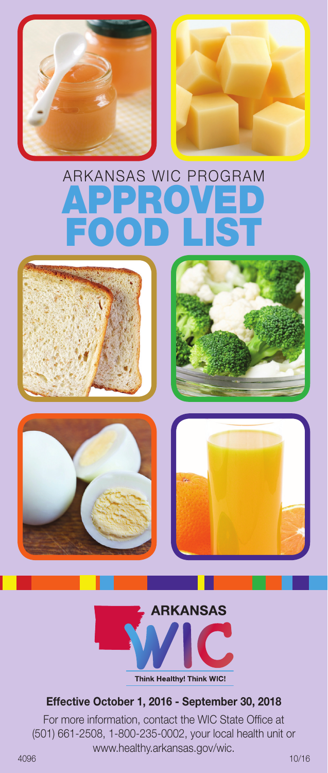

# Arkansas WIC Program Approved Food List











#### **Effective October 1, 2016 - September 30, 2018**

For more information, contact the WIC State Office at (501) 661-2508, 1-800-235-0002, your local health unit or www.healthy.arkansas.gov/wic.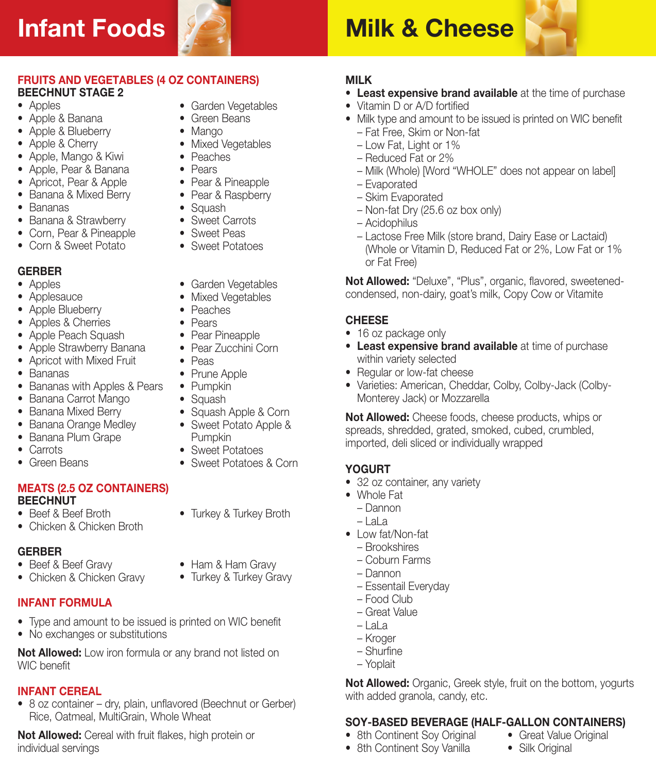# **Infant Foods**



• Garden Vegetables • Green Beans • Mango

• Mixed Vegetables • Peaches • Pears

• Pear & Pineapple • Pear & Raspberry • Squash • Sweet Carrots • Sweet Peas • Sweet Potatoes

# **Milk & Cheese**



#### **FRUITS AND VEGETABLES (4 OZ CONTAINERS) BEECHNUT STAGE 2**

- Apples
- • Apple & Banana
- Apple & Blueberry
- Apple & Cherry
- • Apple, Mango & Kiwi
- • Apple, Pear & Banana
- Apricot, Pear & Apple
- Banana & Mixed Berry
- • Bananas
- Banana & Strawberry
- • Corn, Pear & Pineapple
- Corn & Sweet Potato

#### **GERBER**

- Apples
- Applesauce
- Apple Blueberry
- • Apples & Cherries
- Apple Peach Squash
- Apple Strawberry Banana
- Apricot with Mixed Fruit
- • Bananas
- • Bananas with Apples & Pears
- Banana Carrot Mango
- Banana Mixed Berry
- Banana Orange Medley
- Banana Plum Grape
- Carrots
- Green Beans

#### **MEATS (2.5 OZ CONTAINERS) BEECHNUT**

- • Beef & Beef Broth
- Chicken & Chicken Broth

### **GERBER**

- Beef & Beef Gravy
- Chicken & Chicken Gravy

## **Infant Formula**

- Type and amount to be issued is printed on WIC benefit
- No exchanges or substitutions

**Not Allowed:** Low iron formula or any brand not listed on WIC benefit

# **Infant Cereal**

• 8 oz container – dry, plain, unflavored (Beechnut or Gerber) Rice, Oatmeal, MultiGrain, Whole Wheat

**Not Allowed:** Cereal with fruit flakes, high protein or individual servings

- **Milk**
	- **Least expensive brand available** at the time of purchase
	- Vitamin D or A/D fortified
	- Milk type and amount to be issued is printed on WIC benefit
		- Fat Free, Skim or Non-fat
		- Low Fat, Light or 1%
		- Reduced Fat or 2%
		- Milk (Whole) [Word "WHOLE" does not appear on label]
		- Evaporated
		- Skim Evaporated
		- Non-fat Dry (25.6 oz box only)
		- Acidophilus
		- Lactose Free Milk (store brand, Dairy Ease or Lactaid) (Whole or Vitamin D, Reduced Fat or 2%, Low Fat or 1% or Fat Free)

**Not Allowed:** "Deluxe", "Plus", organic, flavored, sweetenedcondensed, non-dairy, goat's milk, Copy Cow or Vitamite

#### **CHEESE**

- 16 oz package only
- **Least expensive brand available** at time of purchase within variety selected
- Regular or low-fat cheese
- • Varieties: American, Cheddar, Colby, Colby-Jack (Colby-Monterey Jack) or Mozzarella

**Not Allowed:** Cheese foods, cheese products, whips or spreads, shredded, grated, smoked, cubed, crumbled, imported, deli sliced or individually wrapped

#### **YOGURT**

- 32 oz container, any variety
- • Whole Fat
	- Dannon
	- LaLa
- Low fat/Non-fat
	- Brookshires
	- Coburn Farms
	- Dannon
	- Essentail Everyday
	- Food Club
	- Great Value
	- $-$ lala
	- Kroger
	- Shurfine
	- Yoplait

**Not Allowed:** Organic, Greek style, fruit on the bottom, yogurts with added granola, candy, etc.

### **SOY-BASED BEVERAGE (HALF-GALLON CONTAINERS)**

- Great Value Original
- 8th Continent Soy Vanilla
- Silk Original
- 8th Continent Soy Original
	-

Pumpkin • Sweet Potatoes • Sweet Potatoes & Corn

• Garden Vegetables • Mixed Vegetables • Peaches • Pears • Pear Pineapple • Pear Zucchini Corn

• Peas • Prune Apple • Pumpkin • Squash

• Turkey & Turkey Broth

• Squash Apple & Corn • Sweet Potato Apple &

• Ham & Ham Gravy • Turkey & Turkey Gravy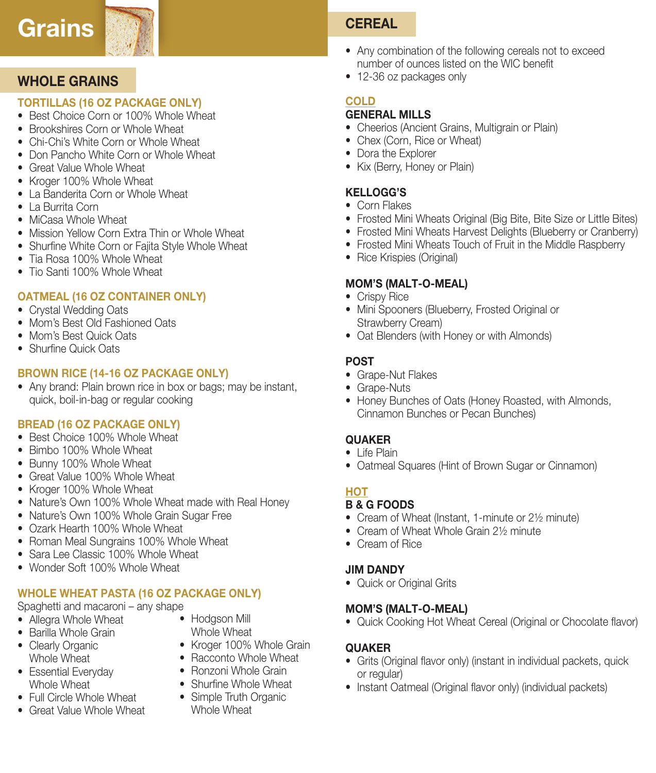# **Grains CEREAL**

# **WHOLE GRAINS**

### **TORTILLAS (16 OZ PACKAGE ONLY)**

- Best Choice Corn or 100% Whole Wheat
- Brookshires Corn or Whole Wheat
- Chi-Chi's White Corn or Whole Wheat
- Don Pancho White Corn or Whole Wheat
- Great Value Whole Wheat
- Kroger 100% Whole Wheat
- La Banderita Corn or Whole Wheat
- • La Burrita Corn
- MiCasa Whole Wheat
- Mission Yellow Corn Extra Thin or Whole Wheat
- Shurfine White Corn or Fajita Style Whole Wheat
- Tia Rosa 100% Whole Wheat
- Tio Santi 100% Whole Wheat

## **OATMEAL (16 OZ CONTAINER ONLY)**

- Crystal Wedding Oats
- Mom's Best Old Fashioned Oats
- Mom's Best Quick Oats
- Shurfine Quick Oats

### **Brown Rice (14-16 oz package only)**

• Any brand: Plain brown rice in box or bags; may be instant, quick, boil-in-bag or regular cooking

### **Bread (16 oz PACKAGE ONLY)**

- Best Choice 100% Whole Wheat
- Bimbo 100% Whole Wheat
- Bunny 100% Whole Wheat
- Great Value 100% Whole Wheat
- Kroger 100% Whole Wheat
- Nature's Own 100% Whole Wheat made with Real Honey
- Nature's Own 100% Whole Grain Sugar Free
- Ozark Hearth 100% Whole Wheat
- Roman Meal Sungrains 100% Whole Wheat
- Sara Lee Classic 100% Whole Wheat
- Wonder Soft 100% Whole Wheat

# **WHOLE WHEAT PASTA (16 OZ PACKAGE ONLY)**

# Spaghetti and macaroni – any shape

- Allegra Whole Wheat
- Barilla Whole Grain
- Clearly Organic Whole Wheat
- Essential Everyday Whole Wheat
- Full Circle Whole Wheat
- Great Value Whole Wheat
- Hodgson Mill Whole Wheat
- Kroger 100% Whole Grain
- Racconto Whole Wheat
- Ronzoni Whole Grain
- Shurfine Whole Wheat
- Simple Truth Organic Whole Wheat

- Any combination of the following cereals not to exceed number of ounces listed on the WIC benefit
- 12-36 oz packages only

# **COLD**

#### **General Mills**

- Cheerios (Ancient Grains, Multigrain or Plain)
- Chex (Corn, Rice or Wheat)
- Dora the Explorer
- Kix (Berry, Honey or Plain)

# **Kellogg's**

- • Corn Flakes
- Frosted Mini Wheats Original (Big Bite, Bite Size or Little Bites)
- Frosted Mini Wheats Harvest Delights (Blueberry or Cranberry)
- Frosted Mini Wheats Touch of Fruit in the Middle Raspberry
- Rice Krispies (Original)

## **MOM's (Malt-O-Meal)**

- Crispy Rice
- Mini Spooners (Blueberry, Frosted Original or Strawberry Cream)
- Oat Blenders (with Honey or with Almonds)

## **Post**

- Grape-Nut Flakes
- Grape-Nuts
- Honey Bunches of Oats (Honey Roasted, with Almonds, Cinnamon Bunches or Pecan Bunches)

# **Quaker**

- Life Plain
- Oatmeal Squares (Hint of Brown Sugar or Cinnamon)

# **HOT**

# **B & G FOODS**

- Cream of Wheat (Instant, 1-minute or 2½ minute)
- Cream of Wheat Whole Grain 21/<sub>2</sub> minute
- • Cream of Rice

## **Jim Dandy**

• Quick or Original Grits

### **MOM's (Malt-O-Meal)**

• Quick Cooking Hot Wheat Cereal (Original or Chocolate flavor)

## **Quaker**

- Grits (Original flavor only) (instant in individual packets, quick or regular)
- Instant Oatmeal (Original flavor only) (individual packets)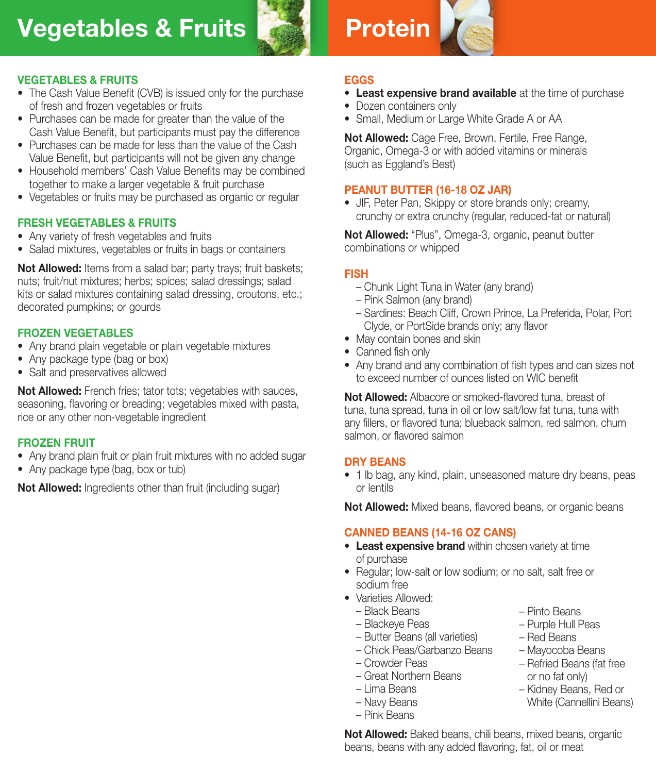# **Vegetables & Fruits**



# **Protein**



#### **VEGETABLES & FRUITS**

- The Cash Value Benefit (CVB) is issued only for the purchase of fresh and frozen vegetables or fruits
- Purchases can be made for greater than the value of the Cash Value Benefit, but participants must pay the difference
- Purchases can be made for less than the value of the Cash Value Benefit, but participants will not be given any change
- Household members' Cash Value Benefits may be combined together to make a larger vegetable & fruit purchase
- Vegetables or fruits may be purchased as organic or regular

#### **FRESH VEGETABLES & FRUITS**

- Any variety of fresh vegetables and fruits
- Salad mixtures, vegetables or fruits in bags or containers

**Not Allowed:** Items from a salad bar; party trays; fruit baskets; nuts; fruit/nut mixtures; herbs; spices; salad dressings; salad kits or salad mixtures containing salad dressing, croutons, etc.; decorated pumpkins; or gourds

#### **FROZEN VEGETABLES**

- Any brand plain vegetable or plain vegetable mixtures
- Any package type (bag or box)
- Salt and preservatives allowed

**Not Allowed:** French fries: tator tots: vegetables with sauces, seasoning, flavoring or breading; vegetables mixed with pasta, rice or any other non-vegetable ingredient

#### **FROZEN FRUIT**

- Any brand plain fruit or plain fruit mixtures with no added sugar
- Any package type (bag, box or tub)

**Not Allowed:** Ingredients other than fruit (including sugar)

#### **Eggs**

- **Least expensive brand available** at the time of purchase
- Dozen containers only
- Small, Medium or Large White Grade A or AA

**Not Allowed:** Cage Free, Brown, Fertile, Free Range, Organic, Omega-3 or with added vitamins or minerals (such as Eggland's Best)

#### **PEANUT BUTTER (16-18 OZ JAR)**

• JIF, Peter Pan, Skippy or store brands only; creamy, crunchy or extra crunchy (regular, reduced-fat or natural)

**Not Allowed:** "Plus", Omega-3, organic, peanut butter combinations or whipped

#### **FISH**

- Chunk Light Tuna in Water (any brand)
- Pink Salmon (any brand)
- Sardines: Beach Cliff, Crown Prince, La Preferida, Polar, Port Clyde, or PortSide brands only; any flavor
- May contain bones and skin
- Canned fish only
- Any brand and any combination of fish types and can sizes not to exceed number of ounces listed on WIC benefit

**Not Allowed:** Albacore or smoked-flavored tuna, breast of tuna, tuna spread, tuna in oil or low salt/low fat tuna, tuna with any fillers, or flavored tuna; blueback salmon, red salmon, chum salmon, or flavored salmon

#### **Dry Beans**

• 1 lb bag, any kind, plain, unseasoned mature dry beans, peas or lentils

**Not Allowed:** Mixed beans, flavored beans, or organic beans

#### **CANNED BEANS (14-16 oz cans)**

- • **Least expensive brand** within chosen variety at time of purchase
- Regular; low-salt or low sodium; or no salt, salt free or sodium free
- Varieties Allowed:
	- Black Beans
	- Blackeye Peas
	- Butter Beans (all varieties)
	- Chick Peas/Garbanzo Beans
	- Crowder Peas
	- Great Northern Beans
	- Lima Beans
	- Navy Beans
	- Pink Beans
- Pinto Beans
- Purple Hull Peas
- Red Beans
- Mayocoba Beans
- Refried Beans (fat free or no fat only)
- Kidney Beans, Red or White (Cannellini Beans)
- **Not Allowed:** Baked beans, chili beans, mixed beans, organic beans, beans with any added flavoring, fat, oil or meat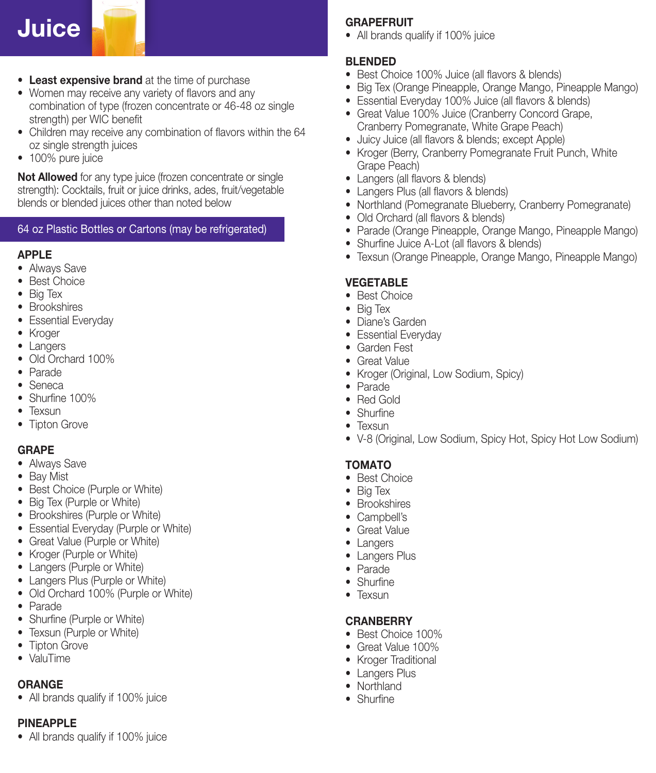# **Juice**

- **Least expensive brand** at the time of purchase
- Women may receive any variety of flavors and any combination of type (frozen concentrate or 46-48 oz single strength) per WIC benefit
- Children may receive any combination of flavors within the 64 oz single strength juices
- 100% pure juice

**Not Allowed** for any type juice (frozen concentrate or single strength): Cocktails, fruit or juice drinks, ades, fruit/vegetable blends or blended juices other than noted below

#### 64 oz Plastic Bottles or Cartons (may be refrigerated)

#### **Apple**

- Always Save
- • Best Choice
- Big Tex
- • Brookshires
- Essential Everyday
- Kroger
- Langers
- Old Orchard 100%
- • Parade
- Seneca
- Shurfine 100%
- Texsun
- Tipton Grove

#### **Grape**

- Always Save
- Bay Mist
- Best Choice (Purple or White)
- Big Tex (Purple or White)
- Brookshires (Purple or White)
- Essential Everyday (Purple or White)
- Great Value (Purple or White)
- • Kroger (Purple or White)
- Langers (Purple or White)
- Langers Plus (Purple or White)
- Old Orchard 100% (Purple or White)
- • Parade
- Shurfine (Purple or White)
- Texsun (Purple or White)
- Tipton Grove
- ValuTime

#### **Orange**

• All brands qualify if 100% juice

#### **Pineapple**

• All brands qualify if 100% juice

#### **Grapefruit**

• All brands qualify if 100% juice

#### **Blended**

- Best Choice 100% Juice (all flavors & blends)
- Big Tex (Orange Pineapple, Orange Mango, Pineapple Mango)
- Essential Everyday 100% Juice (all flavors & blends)
- Great Value 100% Juice (Cranberry Concord Grape, Cranberry Pomegranate, White Grape Peach)
- Juicy Juice (all flavors & blends; except Apple)
- Kroger (Berry, Cranberry Pomegranate Fruit Punch, White Grape Peach)
- Langers (all flavors & blends)
- Langers Plus (all flavors & blends)
- Northland (Pomegranate Blueberry, Cranberry Pomegranate)
- Old Orchard (all flavors & blends)
- Parade (Orange Pineapple, Orange Mango, Pineapple Mango)
- Shurfine Juice A-Lot (all flavors & blends)
- Texsun (Orange Pineapple, Orange Mango, Pineapple Mango)

#### **Vegetable**

- **Best Choice**
- Big Tex
- Diane's Garden
- Essential Everyday
- • Garden Fest
- Great Value
- Kroger (Original, Low Sodium, Spicy)
- • Parade
- • Red Gold
- Shurfine
- Texsun
- V-8 (Original, Low Sodium, Spicy Hot, Spicy Hot Low Sodium)

### **Tomato**

- • Best Choice
- • Big Tex
- • Brookshires
- Campbell's
- Great Value
- Langers
- Langers Plus
- • Parade
- Shurfine
- Texsun

#### **CRANBERRY**

- Best Choice 100%
- Great Value 100%
- Kroger Traditional
- Langers Plus
- Northland
- Shurfine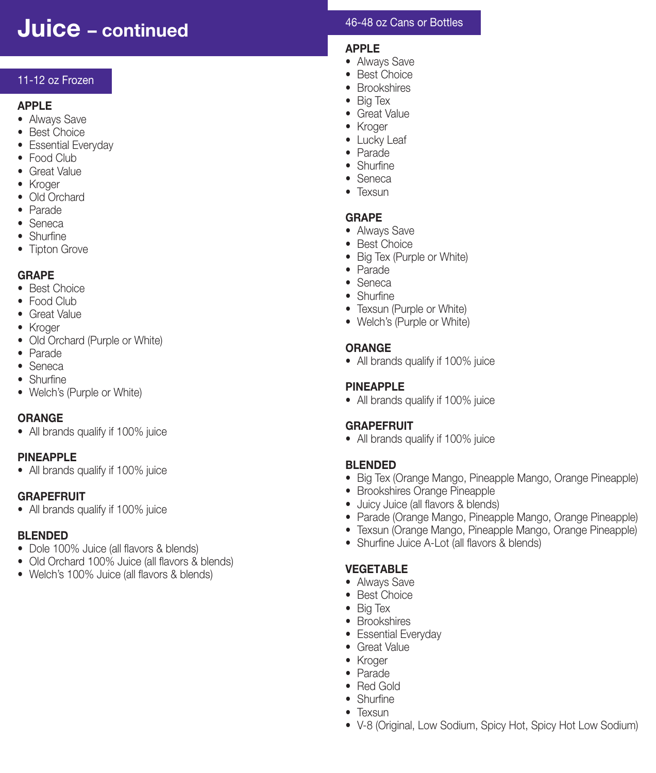# **Juice – continued**

#### 11-12 oz Frozen

#### **Apple**

- Always Save
- • Best Choice
- Essential Everyday
- Food Club
- Great Value
- • Kroger
- • Old Orchard
- • Parade
- • Seneca
- Shurfine
- Tipton Grove

#### **Grape**

- Best Choice
- Food Club
- Great Value
- Kroger
- Old Orchard (Purple or White)
- • Parade
- • Seneca
- Shurfine
- Welch's (Purple or White)

### **Orange**

• All brands qualify if 100% juice

### **Pineapple**

• All brands qualify if 100% juice

#### **Grapefruit**

• All brands qualify if 100% juice

#### **BLENDED**

- Dole 100% Juice (all flavors & blends)
- Old Orchard 100% Juice (all flavors & blends)
- Welch's 100% Juice (all flavors & blends)

#### 46-48 oz Cans or Bottles

#### **Apple**

- Always Save
- **Best Choice**
- Brookshires
- • Big Tex
- Great Value
- • Kroger
- Lucky Leaf
- • Parade
- Shurfine • Seneca
- 
- Texsun

#### **Grape**

- Always Save
- Best Choice
- Big Tex (Purple or White)
- • Parade
- • Seneca
- Shurfine
- Texsun (Purple or White)
- Welch's (Purple or White)

#### **Orange**

• All brands qualify if 100% juice

#### **Pineapple**

• All brands qualify if 100% juice

#### **Grapefruit**

• All brands qualify if 100% juice

### **Blended**

- Big Tex (Orange Mango, Pineapple Mango, Orange Pineapple)
- Brookshires Orange Pineapple
- • Juicy Juice (all flavors & blends)
- Parade (Orange Mango, Pineapple Mango, Orange Pineapple)
- Texsun (Orange Mango, Pineapple Mango, Orange Pineapple)
- Shurfine Juice A-Lot (all flavors & blends)

### **Vegetable**

- Always Save
- • Best Choice
- Big Tex
- • Brookshires
- Essential Everyday
- Great Value
- • Kroger
- • Parade
- • Red Gold
- Shurfine
- Texsun
- V-8 (Original, Low Sodium, Spicy Hot, Spicy Hot Low Sodium)